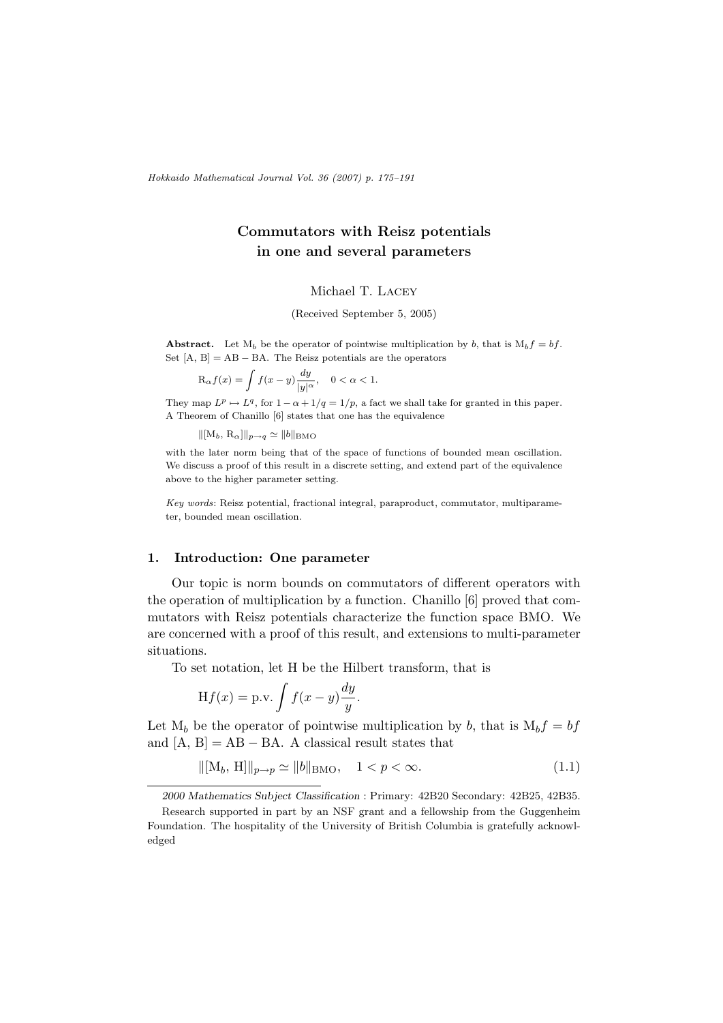Hokkaido Mathematical Journal Vol. 36 (2007) p. 175–191

# Commutators with Reisz potentials in one and several parameters

### Michael T. Lacey

(Received September 5, 2005)

**Abstract.** Let  $M_b$  be the operator of pointwise multiplication by b, that is  $M_b f = bf$ . Set  $[A, B] = AB - BA$ . The Reisz potentials are the operators

$$
\mathcal{R}_{\alpha}f(x) = \int f(x - y) \frac{dy}{|y|^{\alpha}}, \quad 0 < \alpha < 1.
$$

They map  $L^p \mapsto L^q$ , for  $1 - \alpha + 1/q = 1/p$ , a fact we shall take for granted in this paper. A Theorem of Chanillo [6] states that one has the equivalence

 $\|[M_b, R_\alpha]\|_{p\to q} \simeq \|b\|_{\text{BMO}}$ 

with the later norm being that of the space of functions of bounded mean oscillation. We discuss a proof of this result in a discrete setting, and extend part of the equivalence above to the higher parameter setting.

Key words: Reisz potential, fractional integral, paraproduct, commutator, multiparameter, bounded mean oscillation.

### 1. Introduction: One parameter

Our topic is norm bounds on commutators of different operators with the operation of multiplication by a function. Chanillo [6] proved that commutators with Reisz potentials characterize the function space BMO. We are concerned with a proof of this result, and extensions to multi-parameter situations.

To set notation, let H be the Hilbert transform, that is

$$
Hf(x) = p.v. \int f(x - y) \frac{dy}{y}.
$$

Let  $M_b$  be the operator of pointwise multiplication by b, that is  $M_b f = bf$ and  $[A, B] = AB - BA$ . A classical result states that

$$
\| [M_b, H] \|_{p \to p} \simeq \| b \|_{\text{BMO}}, \quad 1 < p < \infty. \tag{1.1}
$$

2000 Mathematics Subject Classification : Primary: 42B20 Secondary: 42B25, 42B35.

Research supported in part by an NSF grant and a fellowship from the Guggenheim Foundation. The hospitality of the University of British Columbia is gratefully acknowledged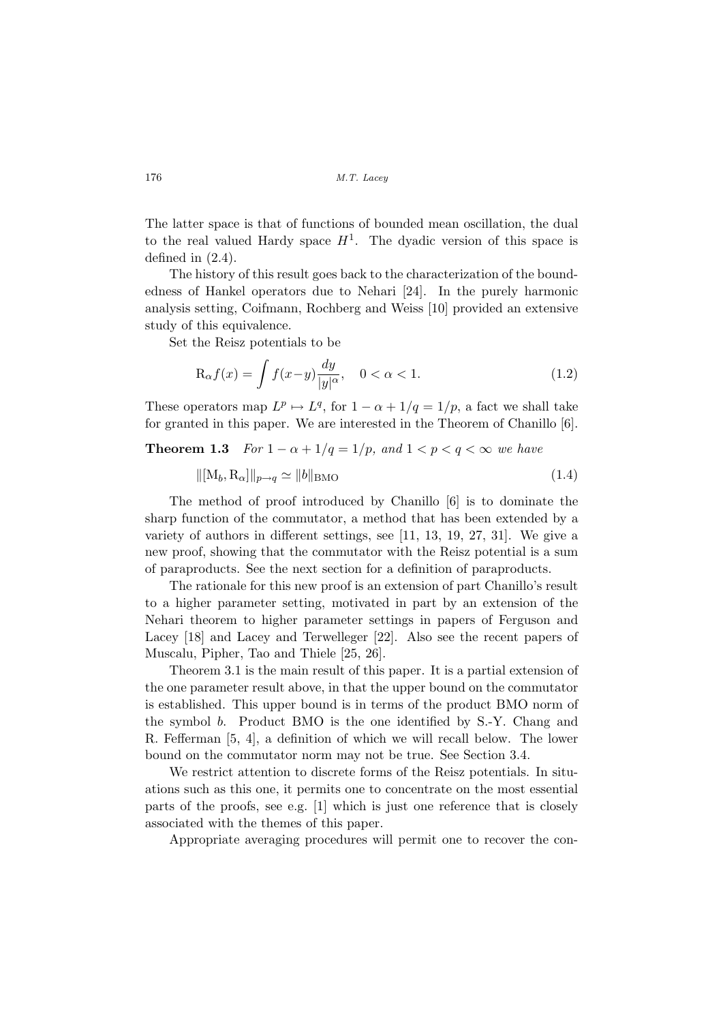The latter space is that of functions of bounded mean oscillation, the dual to the real valued Hardy space  $H^1$ . The dyadic version of this space is defined in (2.4).

The history of this result goes back to the characterization of the boundedness of Hankel operators due to Nehari [24]. In the purely harmonic analysis setting, Coifmann, Rochberg and Weiss [10] provided an extensive study of this equivalence.

Set the Reisz potentials to be

$$
\mathcal{R}_{\alpha}f(x) = \int f(x-y)\frac{dy}{|y|^{\alpha}}, \quad 0 < \alpha < 1.
$$
 (1.2)

These operators map  $L^p \mapsto L^q$ , for  $1 - \alpha + 1/q = 1/p$ , a fact we shall take for granted in this paper. We are interested in the Theorem of Chanillo [6].

## **Theorem 1.3** For  $1 - \alpha + 1/q = 1/p$ , and  $1 < p < q < \infty$  we have

$$
\|[\mathbf{M}_b, \mathbf{R}_\alpha]\|_{p \to q} \simeq \|b\|_{\text{BMO}} \tag{1.4}
$$

The method of proof introduced by Chanillo [6] is to dominate the sharp function of the commutator, a method that has been extended by a variety of authors in different settings, see [11, 13, 19, 27, 31]. We give a new proof, showing that the commutator with the Reisz potential is a sum of paraproducts. See the next section for a definition of paraproducts.

The rationale for this new proof is an extension of part Chanillo's result to a higher parameter setting, motivated in part by an extension of the Nehari theorem to higher parameter settings in papers of Ferguson and Lacey [18] and Lacey and Terwelleger [22]. Also see the recent papers of Muscalu, Pipher, Tao and Thiele [25, 26].

Theorem 3.1 is the main result of this paper. It is a partial extension of the one parameter result above, in that the upper bound on the commutator is established. This upper bound is in terms of the product BMO norm of the symbol b. Product BMO is the one identified by S.-Y. Chang and R. Fefferman [5, 4], a definition of which we will recall below. The lower bound on the commutator norm may not be true. See Section 3.4.

We restrict attention to discrete forms of the Reisz potentials. In situations such as this one, it permits one to concentrate on the most essential parts of the proofs, see e.g. [1] which is just one reference that is closely associated with the themes of this paper.

Appropriate averaging procedures will permit one to recover the con-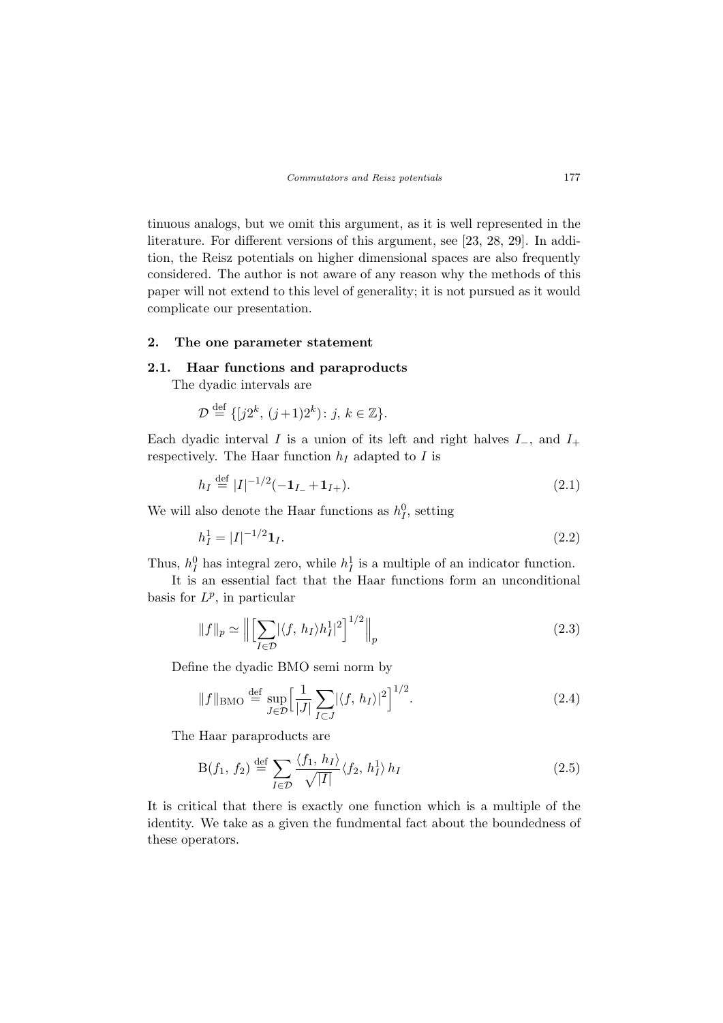tinuous analogs, but we omit this argument, as it is well represented in the literature. For different versions of this argument, see [23, 28, 29]. In addition, the Reisz potentials on higher dimensional spaces are also frequently considered. The author is not aware of any reason why the methods of this paper will not extend to this level of generality; it is not pursued as it would complicate our presentation.

### 2. The one parameter statement

### 2.1. Haar functions and paraproducts

The dyadic intervals are

$$
\mathcal{D} \stackrel{\text{def}}{=} \{ [j2^k, (j+1)2^k) \colon j, k \in \mathbb{Z} \}.
$$

Each dyadic interval I is a union of its left and right halves  $I_-,$  and  $I_+$ respectively. The Haar function  $h_I$  adapted to I is

$$
h_I \stackrel{\text{def}}{=} |I|^{-1/2}(-\mathbf{1}_{I-} + \mathbf{1}_{I+}).\tag{2.1}
$$

We will also denote the Haar functions as  $h_I^0$ , setting

$$
h_I^1 = |I|^{-1/2} \mathbf{1}_I. \tag{2.2}
$$

Thus,  $h_I^0$  has integral zero, while  $h_I^1$  is a multiple of an indicator function.

It is an essential fact that the Haar functions form an unconditional basis for  $L^p$ , in particular

$$
||f||_p \simeq \left\| \left[ \sum_{I \in \mathcal{D}} |\langle f, h_I \rangle h_I^1|^2 \right]^{1/2} \right\|_p \tag{2.3}
$$

Define the dyadic BMO semi norm by

$$
||f||_{\text{BMO}} \stackrel{\text{def}}{=} \sup_{J \in \mathcal{D}} \Big[ \frac{1}{|J|} \sum_{I \subset J} |\langle f, h_I \rangle|^2 \Big]^{1/2}.
$$
 (2.4)

The Haar paraproducts are

$$
B(f_1, f_2) \stackrel{\text{def}}{=} \sum_{I \in \mathcal{D}} \frac{\langle f_1, h_I \rangle}{\sqrt{|I|}} \langle f_2, h_I^1 \rangle h_I \tag{2.5}
$$

It is critical that there is exactly one function which is a multiple of the identity. We take as a given the fundmental fact about the boundedness of these operators.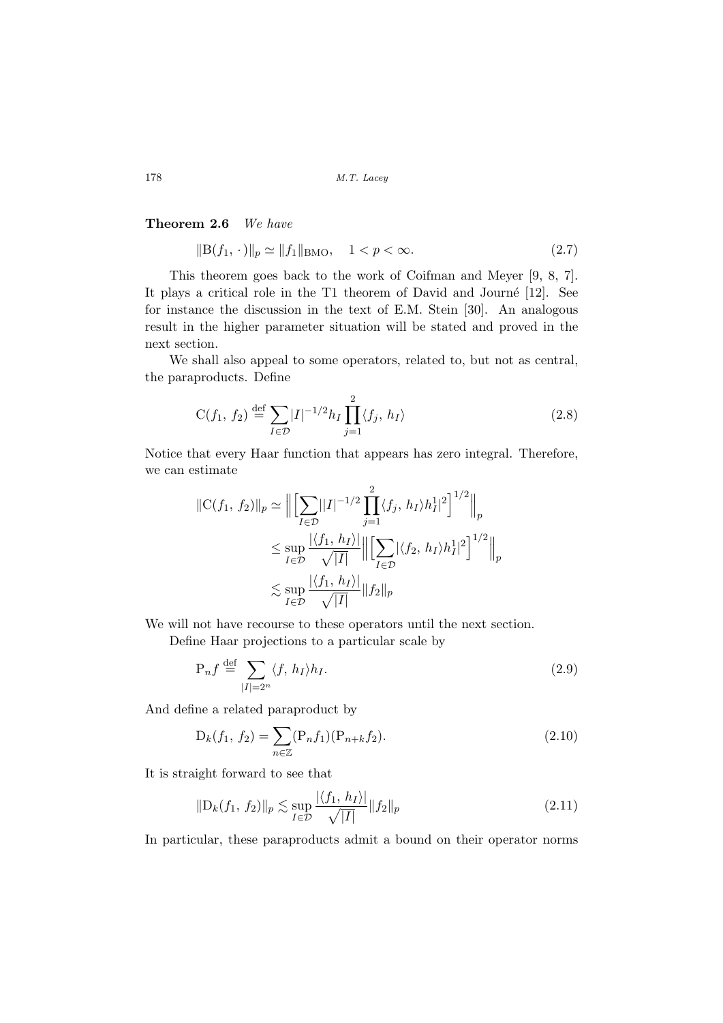### Theorem 2.6 We have

$$
||B(f_1, \cdot)||_p \simeq ||f_1||_{BMO}, \quad 1 < p < \infty. \tag{2.7}
$$

This theorem goes back to the work of Coifman and Meyer [9, 8, 7]. It plays a critical role in the T1 theorem of David and Journé  $[12]$ . See for instance the discussion in the text of E.M. Stein [30]. An analogous result in the higher parameter situation will be stated and proved in the next section.

We shall also appeal to some operators, related to, but not as central, the paraproducts. Define

$$
C(f_1, f_2) \stackrel{\text{def}}{=} \sum_{I \in \mathcal{D}} |I|^{-1/2} h_I \prod_{j=1}^2 \langle f_j, h_I \rangle \tag{2.8}
$$

Notice that every Haar function that appears has zero integral. Therefore, we can estimate

$$
||C(f_1, f_2)||_p \simeq \Big\| \Big[\sum_{I \in \mathcal{D}} ||I|^{-1/2} \prod_{j=1}^2 \langle f_j, h_I \rangle h_I^1|^2 \Big]^{1/2} \Big\|_p
$$
  
\$\leq \sup\_{I \in \mathcal{D}} \frac{|\langle f\_1, h\_I \rangle|}{\sqrt{|I|}} \Big\| \Big[\sum\_{I \in \mathcal{D}} |\langle f\_2, h\_I \rangle h\_I^1|^2 \Big]^{1/2} \Big\|\_p\$  
\$\lesssim \sup\_{I \in \mathcal{D}} \frac{|\langle f\_1, h\_I \rangle|}{\sqrt{|I|}} ||f\_2||\_p\$

We will not have recourse to these operators until the next section.

Define Haar projections to a particular scale by

$$
P_n f \stackrel{\text{def}}{=} \sum_{|I|=2^n} \langle f, h_I \rangle h_I. \tag{2.9}
$$

And define a related paraproduct by

$$
D_k(f_1, f_2) = \sum_{n \in \mathbb{Z}} (P_n f_1)(P_{n+k} f_2).
$$
 (2.10)

It is straight forward to see that

$$
\|\mathcal{D}_k(f_1, f_2)\|_p \lesssim \sup_{I \in \mathcal{D}} \frac{|\langle f_1, h_I \rangle|}{\sqrt{|I|}} \|f_2\|_p
$$
\n(2.11)

In particular, these paraproducts admit a bound on their operator norms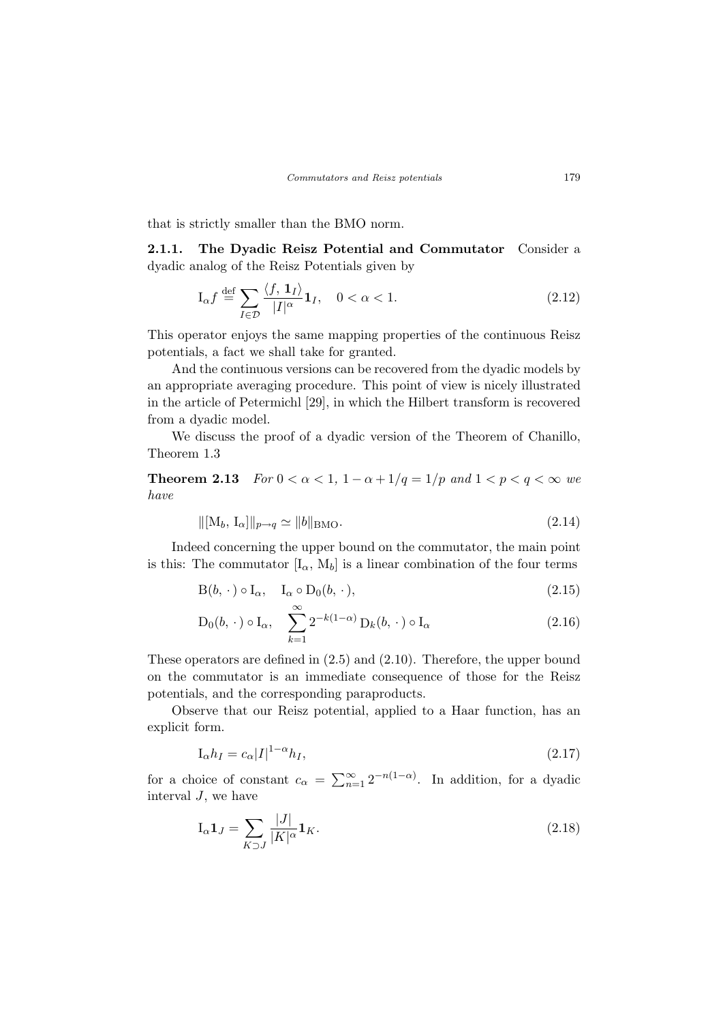that is strictly smaller than the BMO norm.

2.1.1. The Dyadic Reisz Potential and Commutator Consider a dyadic analog of the Reisz Potentials given by

$$
\mathcal{I}_{\alpha}f \stackrel{\text{def}}{=} \sum_{I \in \mathcal{D}} \frac{\langle f, \mathbf{1}_I \rangle}{|I|^{\alpha}} \mathbf{1}_I, \quad 0 < \alpha < 1. \tag{2.12}
$$

This operator enjoys the same mapping properties of the continuous Reisz potentials, a fact we shall take for granted.

And the continuous versions can be recovered from the dyadic models by an appropriate averaging procedure. This point of view is nicely illustrated in the article of Petermichl [29], in which the Hilbert transform is recovered from a dyadic model.

We discuss the proof of a dyadic version of the Theorem of Chanillo, Theorem 1.3

**Theorem 2.13**  $For\ 0 < \alpha < 1, 1-\alpha+1/q = 1/p$  and  $1 < p < q < \infty$  we have

$$
\| [M_b, I_\alpha] \|_{p \to q} \simeq \| b \|_{\text{BMO}}.\tag{2.14}
$$

Indeed concerning the upper bound on the commutator, the main point is this: The commutator  $[I_{\alpha}, M_{b}]$  is a linear combination of the four terms

$$
B(b, \cdot) \circ I_{\alpha}, \quad I_{\alpha} \circ D_0(b, \cdot), \tag{2.15}
$$

$$
D_0(b, \cdot) \circ I_{\alpha}, \quad \sum_{k=1}^{\infty} 2^{-k(1-\alpha)} D_k(b, \cdot) \circ I_{\alpha}
$$
 (2.16)

These operators are defined in (2.5) and (2.10). Therefore, the upper bound on the commutator is an immediate consequence of those for the Reisz potentials, and the corresponding paraproducts.

Observe that our Reisz potential, applied to a Haar function, has an explicit form.

$$
I_{\alpha}h_I = c_{\alpha}|I|^{1-\alpha}h_I,\tag{2.17}
$$

for a choice of constant  $c_{\alpha} = \sum_{n=1}^{\infty}$  $\sum_{n=1}^{\infty} 2^{-n(1-\alpha)}$ . In addition, for a dyadic interval  $J$ , we have

$$
\mathbf{I}_{\alpha}\mathbf{1}_{J} = \sum_{K \supset J} \frac{|J|}{|K|^{\alpha}} \mathbf{1}_{K}.
$$
\n(2.18)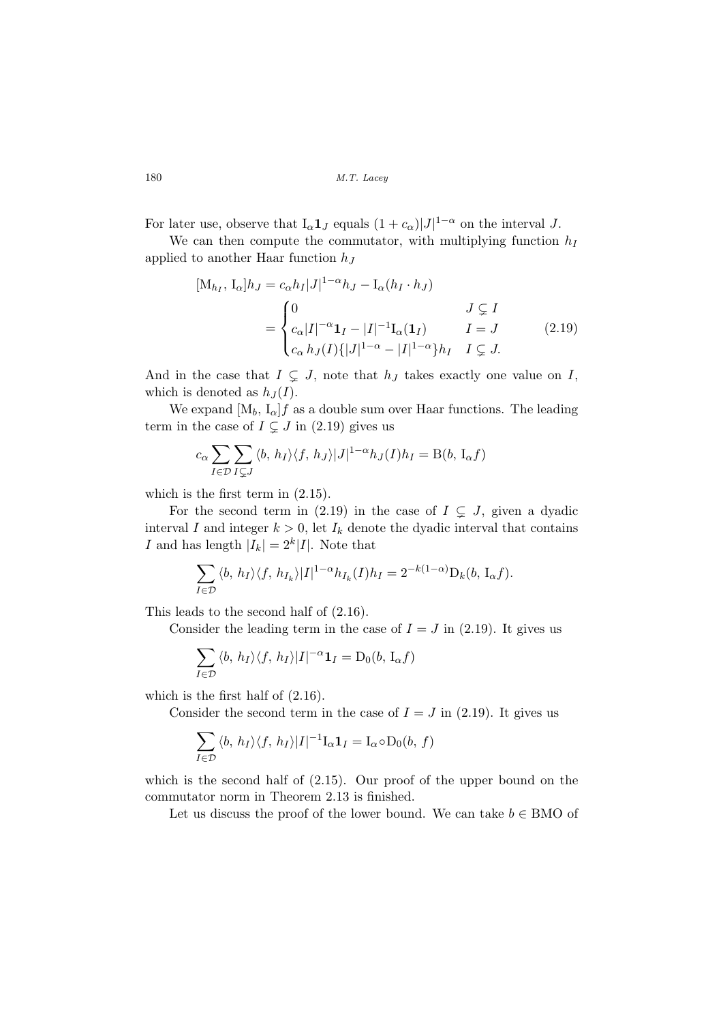For later use, observe that  $I_{\alpha} \mathbf{1}_J$  equals  $(1 + c_{\alpha})|J|^{1-\alpha}$  on the interval J.

We can then compute the commutator, with multiplying function  $h_I$ applied to another Haar function  $h_J$ 

$$
[M_{h_I}, I_{\alpha}]h_J = c_{\alpha}h_I|J|^{1-\alpha}h_J - I_{\alpha}(h_I \cdot h_J)
$$
  

$$
= \begin{cases} 0 & J \subsetneq I \\ c_{\alpha}|I|^{-\alpha}\mathbf{1}_I - |I|^{-1}I_{\alpha}(\mathbf{1}_I) & I = J \\ c_{\alpha}h_J(I)\{|J|^{1-\alpha} - |I|^{1-\alpha}\}h_I & I \subsetneq J. \end{cases}
$$
(2.19)

And in the case that  $I \subsetneq J$ , note that  $h_J$  takes exactly one value on I, which is denoted as  $h_J(I)$ .

We expand  $[M_b, I_\alpha]f$  as a double sum over Haar functions. The leading term in the case of  $I \subsetneq J$  in (2.19) gives us

$$
c_{\alpha} \sum_{I \in \mathcal{D}} \sum_{I \subsetneq J} \langle b, h_I \rangle \langle f, h_J \rangle |J|^{1-\alpha} h_J(I) h_I = B(b, I_{\alpha} f)
$$

which is the first term in (2.15).

For the second term in (2.19) in the case of  $I \subsetneq J$ , given a dyadic interval I and integer  $k > 0$ , let  $I_k$  denote the dyadic interval that contains I and has length  $|I_k| = 2^k |I|$ . Note that

$$
\sum_{I\in\mathcal{D}}\langle b, h_I\rangle\langle f, h_{I_k}\rangle|I|^{1-\alpha}h_{I_k}(I)h_I=2^{-k(1-\alpha)}D_k(b, I_{\alpha}f).
$$

This leads to the second half of (2.16).

Consider the leading term in the case of  $I = J$  in (2.19). It gives us

$$
\sum_{I \in \mathcal{D}} \langle b, h_I \rangle \langle f, h_I \rangle |I|^{-\alpha} \mathbf{1}_I = D_0(b, I_\alpha f)
$$

which is the first half of (2.16).

Consider the second term in the case of  $I = J$  in (2.19). It gives us

$$
\sum_{I \in \mathcal{D}} \langle b, h_I \rangle \langle f, h_I \rangle |I|^{-1} I_{\alpha} \mathbf{1}_I = I_{\alpha} \circ D_0(b, f)
$$

which is the second half of  $(2.15)$ . Our proof of the upper bound on the commutator norm in Theorem 2.13 is finished.

Let us discuss the proof of the lower bound. We can take  $b \in BMO$  of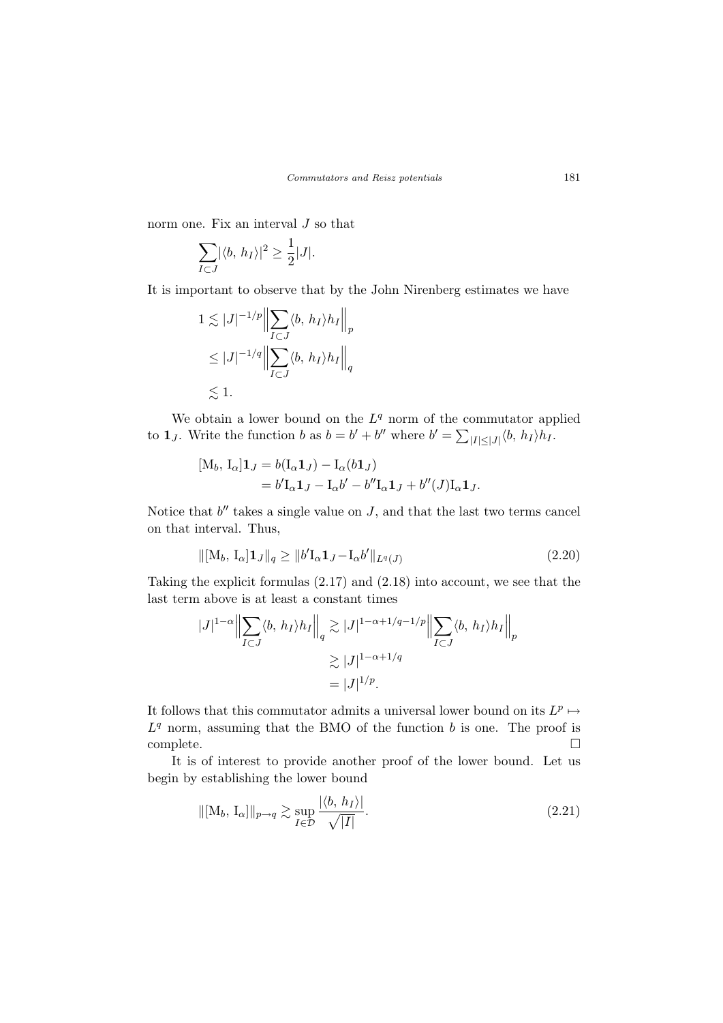norm one. Fix an interval  $J$  so that

$$
\sum_{I \subset J} |\langle b, h_I \rangle|^2 \ge \frac{1}{2}|J|.
$$

It is important to observe that by the John Nirenberg estimates we have

$$
1 \lesssim |J|^{-1/p} \Big\| \sum_{I \subset J} \langle b, h_I \rangle h_I \Big\|_p
$$
  
\leq |J|^{-1/q} \Big\| \sum\_{I \subset J} \langle b, h\_I \rangle h\_I \Big\|\_q  
\leq 1.

We obtain a lower bound on the  $L<sup>q</sup>$  norm of the commutator applied to **1***j*. Write the function *b* as  $b = b' + b''$  where  $b' = \sum$  $|I|\leq |J| \langle b, h_I \rangle h_I.$ 

$$
[M_b, I_{\alpha}] \mathbf{1}_J = b(I_{\alpha} \mathbf{1}_J) - I_{\alpha}(b \mathbf{1}_J)
$$
  
=  $b'I_{\alpha} \mathbf{1}_J - I_{\alpha} b' - b'' I_{\alpha} \mathbf{1}_J + b''(J) I_{\alpha} \mathbf{1}_J.$ 

Notice that  $b''$  takes a single value on  $J$ , and that the last two terms cancel on that interval. Thus,

$$
\| [M_b, I_{\alpha}] \mathbf{1}_J \|_q \ge \| b' I_{\alpha} \mathbf{1}_J - I_{\alpha} b' \|_{L^q(J)} \tag{2.20}
$$

Taking the explicit formulas (2.17) and (2.18) into account, we see that the last term above is at least a constant times

$$
|J|^{1-\alpha} \Big\| \sum_{I \subset J} \langle b, h_I \rangle h_I \Big\|_q \gtrsim |J|^{1-\alpha+1/q-1/p} \Big\| \sum_{I \subset J} \langle b, h_I \rangle h_I \Big\|_p
$$
  

$$
\gtrsim |J|^{1-\alpha+1/q}
$$
  

$$
= |J|^{1/p}.
$$

It follows that this commutator admits a universal lower bound on its  $L^p \mapsto$  $L<sup>q</sup>$  norm, assuming that the BMO of the function b is one. The proof is  $\Box$  complete.  $\Box$ 

It is of interest to provide another proof of the lower bound. Let us begin by establishing the lower bound

$$
\|[\mathbf{M}_b, \mathbf{I}_\alpha]\|_{p \to q} \gtrsim \sup_{I \in \mathcal{D}} \frac{|\langle b, h_I \rangle|}{\sqrt{|I|}}.
$$
\n(2.21)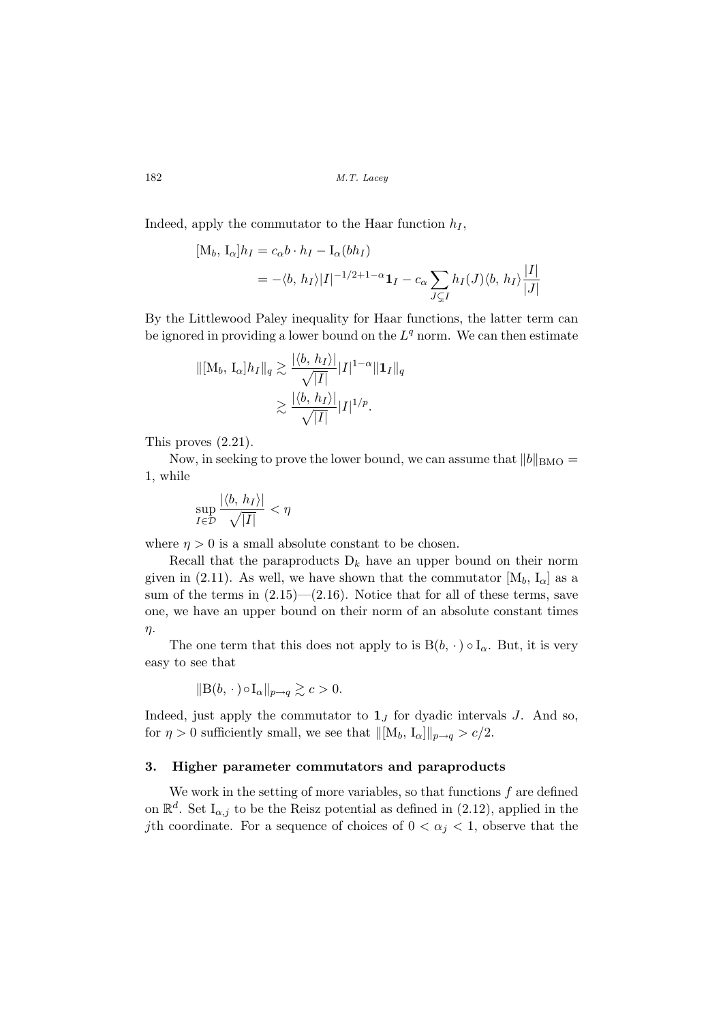Indeed, apply the commutator to the Haar function  $h_I$ ,

$$
[M_b, I_\alpha]h_I = c_\alpha b \cdot h_I - I_\alpha(bh_I)
$$
  
= -\langle b, h\_I \rangle |I|^{-1/2+1-\alpha} \mathbf{1}\_I - c\_\alpha \sum\_{J \subset I} h\_I(J) \langle b, h\_I \rangle \frac{|I|}{|J|}

By the Littlewood Paley inequality for Haar functions, the latter term can be ignored in providing a lower bound on the  $L<sup>q</sup>$  norm. We can then estimate

$$
\|[\mathbf{M}_b, \mathbf{I}_{\alpha}]h_I\|_q \gtrsim \frac{|\langle b, h_I \rangle|}{\sqrt{|I|}} |I|^{1-\alpha} \|\mathbf{1}_I\|_q
$$
  

$$
\gtrsim \frac{|\langle b, h_I \rangle|}{\sqrt{|I|}} |I|^{1/p}.
$$

This proves (2.21).

Now, in seeking to prove the lower bound, we can assume that  $||b||_{\text{BMO}} =$ 1, while

$$
\sup_{I\in\mathcal{D}}\frac{|\langle b,h_I\rangle|}{\sqrt{|I|}}<\eta
$$

where  $\eta > 0$  is a small absolute constant to be chosen.

Recall that the paraproducts  $D_k$  have an upper bound on their norm given in (2.11). As well, we have shown that the commutator  $[M_b, I_\alpha]$  as a sum of the terms in  $(2.15)$ — $(2.16)$ . Notice that for all of these terms, save one, we have an upper bound on their norm of an absolute constant times η.

The one term that this does not apply to is  $B(b, \cdot) \circ I_{\alpha}$ . But, it is very easy to see that

$$
\|\mathcal{B}(b,\,\cdot\,)\circ\mathcal{I}_{\alpha}\|_{p\to q} \gtrsim c > 0.
$$

Indeed, just apply the commutator to  $1<sub>J</sub>$  for dyadic intervals J. And so, for  $\eta > 0$  sufficiently small, we see that  $\|[\mathbf{M}_b, \mathbf{I}_\alpha]\|_{p\to q} > c/2$ .

### 3. Higher parameter commutators and paraproducts

We work in the setting of more variables, so that functions  $f$  are defined on  $\mathbb{R}^d$ . Set  $I_{\alpha,j}$  to be the Reisz potential as defined in (2.12), applied in the jth coordinate. For a sequence of choices of  $0 < \alpha_j < 1$ , observe that the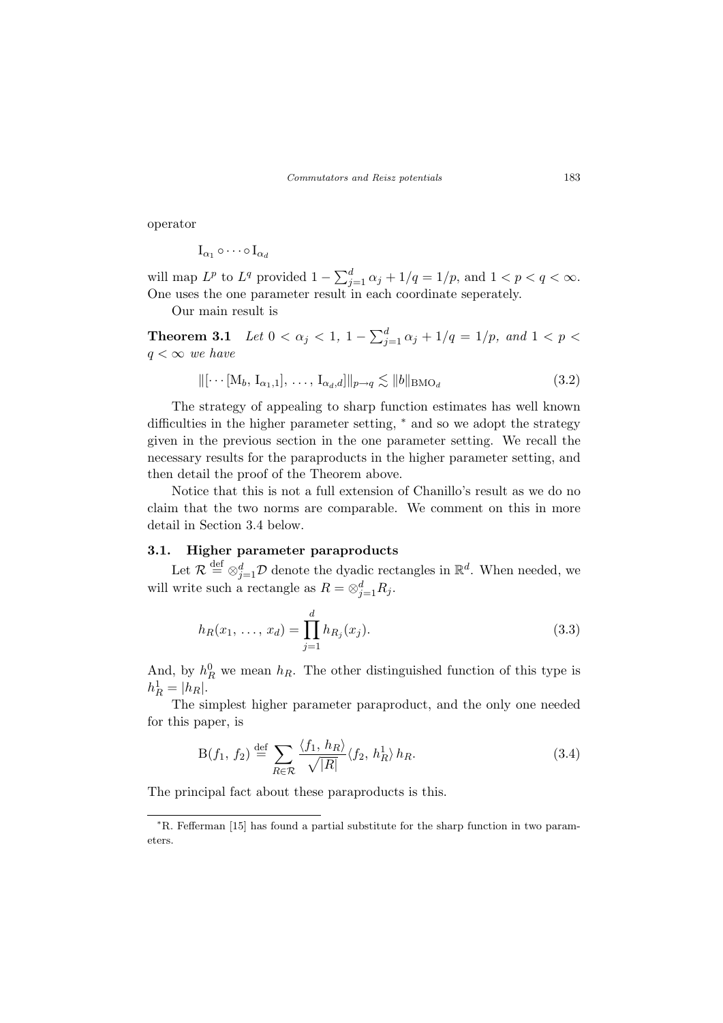operator

$$
\mathrm{I}_{\alpha_1}\circ\cdots\circ\mathrm{I}_{\alpha_d}
$$

will map  $L^p$  to  $L^q$  provided  $1-\sum_{i=1}^d L^p$  $_{j=1}^{a} \alpha_j + 1/q = 1/p$ , and  $1 < p < q < \infty$ . One uses the one parameter result in each coordinate seperately.

Our main result is

**Theorem 3.1** Let  $0 < \alpha_j < 1, 1 - \sum_{i=1}^{d}$  $_{j=1}^{a} \alpha_j + 1/q = 1/p$ , and  $1 < p <$  $q < \infty$  we have

$$
\|[\cdots[\mathbf{M}_b, \mathbf{I}_{\alpha_1,1}], \dots, \mathbf{I}_{\alpha_d,d}]\|_{p \to q} \lesssim \|b\|_{\text{BMO}_d}
$$
\n(3.2)

The strategy of appealing to sharp function estimates has well known difficulties in the higher parameter setting, <sup>∗</sup> and so we adopt the strategy given in the previous section in the one parameter setting. We recall the necessary results for the paraproducts in the higher parameter setting, and then detail the proof of the Theorem above.

Notice that this is not a full extension of Chanillo's result as we do no claim that the two norms are comparable. We comment on this in more detail in Section 3.4 below.

### 3.1. Higher parameter paraproducts

Let  $\mathcal{R} \stackrel{\text{def}}{=} \otimes_{j=1}^d \mathcal{D}$  denote the dyadic rectangles in  $\mathbb{R}^d$ . When needed, we will write such a rectangle as  $R = \otimes_{j=1}^d R_j$ .

$$
h_R(x_1, \ldots, x_d) = \prod_{j=1}^d h_{R_j}(x_j).
$$
\n(3.3)

And, by  $h_R^0$  we mean  $h_R$ . The other distinguished function of this type is  $h_R^1 = |h_R|$ .

The simplest higher parameter paraproduct, and the only one needed for this paper, is

$$
B(f_1, f_2) \stackrel{\text{def}}{=} \sum_{R \in \mathcal{R}} \frac{\langle f_1, h_R \rangle}{\sqrt{|R|}} \langle f_2, h_R^1 \rangle h_R. \tag{3.4}
$$

The principal fact about these paraproducts is this.

<sup>∗</sup>R. Fefferman [15] has found a partial substitute for the sharp function in two parameters.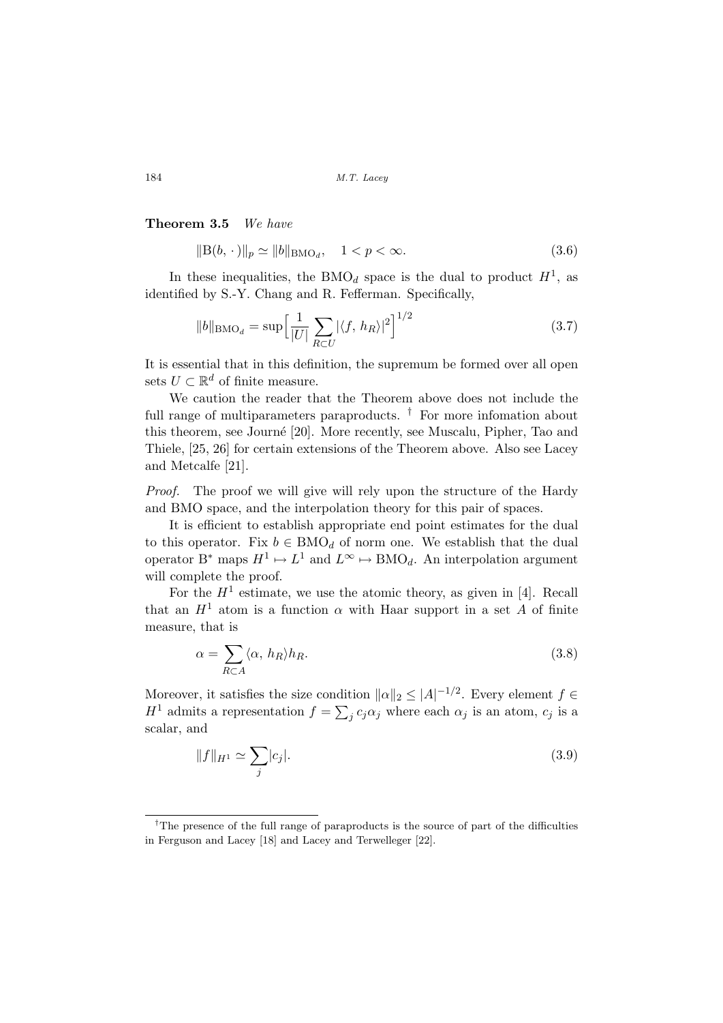### Theorem 3.5 We have

$$
||B(b, \cdot)||_p \simeq ||b||_{\text{BMO}_d}, \quad 1 < p < \infty. \tag{3.6}
$$

In these inequalities, the BMO<sub>d</sub> space is the dual to product  $H<sup>1</sup>$ , as identified by S.-Y. Chang and R. Fefferman. Specifically,

$$
||b||_{\text{BMO}_d} = \sup \Big[ \frac{1}{|U|} \sum_{R \subset U} |\langle f, h_R \rangle|^2 \Big]^{1/2} \tag{3.7}
$$

It is essential that in this definition, the supremum be formed over all open sets  $U \subset \mathbb{R}^d$  of finite measure.

We caution the reader that the Theorem above does not include the full range of multiparameters paraproducts.  $\dagger$  For more infomation about this theorem, see Journé [20]. More recently, see Muscalu, Pipher, Tao and Thiele, [25, 26] for certain extensions of the Theorem above. Also see Lacey and Metcalfe [21].

Proof. The proof we will give will rely upon the structure of the Hardy and BMO space, and the interpolation theory for this pair of spaces.

It is efficient to establish appropriate end point estimates for the dual to this operator. Fix  $b \in BMO_d$  of norm one. We establish that the dual operator B<sup>\*</sup> maps  $H^1 \mapsto L^1$  and  $L^{\infty} \mapsto BMO_d$ . An interpolation argument will complete the proof.

For the  $H^1$  estimate, we use the atomic theory, as given in [4]. Recall that an  $H^1$  atom is a function  $\alpha$  with Haar support in a set A of finite measure, that is

$$
\alpha = \sum_{R \subset A} \langle \alpha, h_R \rangle h_R. \tag{3.8}
$$

Moreover, it satisfies the size condition  $||\alpha||_2 \leq |A|^{-1/2}$ . Every element  $f \in$ Moreover, it satisfies the size contri<br> $H^1$  admits a representation  $f = \sum$  $j c_j \alpha_j$  where each  $\alpha_j$  is an atom,  $c_j$  is a scalar, and

$$
||f||_{H^1} \simeq \sum_j |c_j|.\tag{3.9}
$$

<sup>†</sup>The presence of the full range of paraproducts is the source of part of the difficulties in Ferguson and Lacey [18] and Lacey and Terwelleger [22].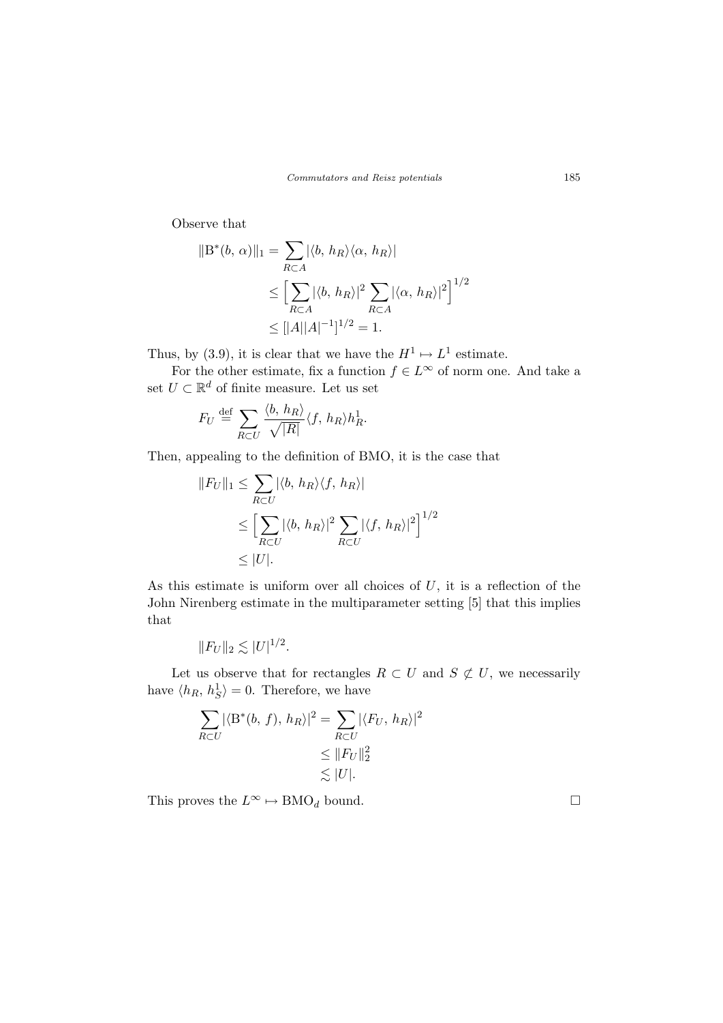Observe that

$$
||B^*(b, \alpha)||_1 = \sum_{R \subset A} |\langle b, h_R \rangle \langle \alpha, h_R \rangle|
$$
  
\n
$$
\leq \left[ \sum_{R \subset A} |\langle b, h_R \rangle|^2 \sum_{R \subset A} |\langle \alpha, h_R \rangle|^2 \right]^{1/2}
$$
  
\n
$$
\leq ||A||A|^{-1}|^{1/2} = 1.
$$

Thus, by (3.9), it is clear that we have the  $H^1 \mapsto L^1$  estimate.

For the other estimate, fix a function  $f \in L^{\infty}$  of norm one. And take a set  $U \subset \mathbb{R}^d$  of finite measure. Let us set

$$
F_U \stackrel{\text{def}}{=} \sum_{R \subset U} \frac{\langle b, h_R \rangle}{\sqrt{|R|}} \langle f, h_R \rangle h_R^1.
$$

Then, appealing to the definition of BMO, it is the case that

$$
||F_U||_1 \le \sum_{R \subset U} |\langle b, h_R \rangle \langle f, h_R \rangle|
$$
  
\n
$$
\le \left[ \sum_{R \subset U} |\langle b, h_R \rangle|^2 \sum_{R \subset U} |\langle f, h_R \rangle|^2 \right]^{1/2}
$$
  
\n
$$
\le |U|.
$$

As this estimate is uniform over all choices of  $U$ , it is a reflection of the John Nirenberg estimate in the multiparameter setting [5] that this implies that

$$
||F_U||_2 \lesssim |U|^{1/2}.
$$

Let us observe that for rectangles  $R \subset U$  and  $S \not\subset U$ , we necessarily have  $\langle h_R, h_S^1 \rangle = 0$ . Therefore, we have

$$
\sum_{R \subset U} |\langle B^*(b, f), h_R \rangle|^2 = \sum_{R \subset U} |\langle F_U, h_R \rangle|^2
$$
  
\n
$$
\leq ||F_U||_2^2
$$
  
\n
$$
\lesssim |U|.
$$

This proves the  $L^{\infty} \mapsto \text{BMO}_d$  bound.  $\Box$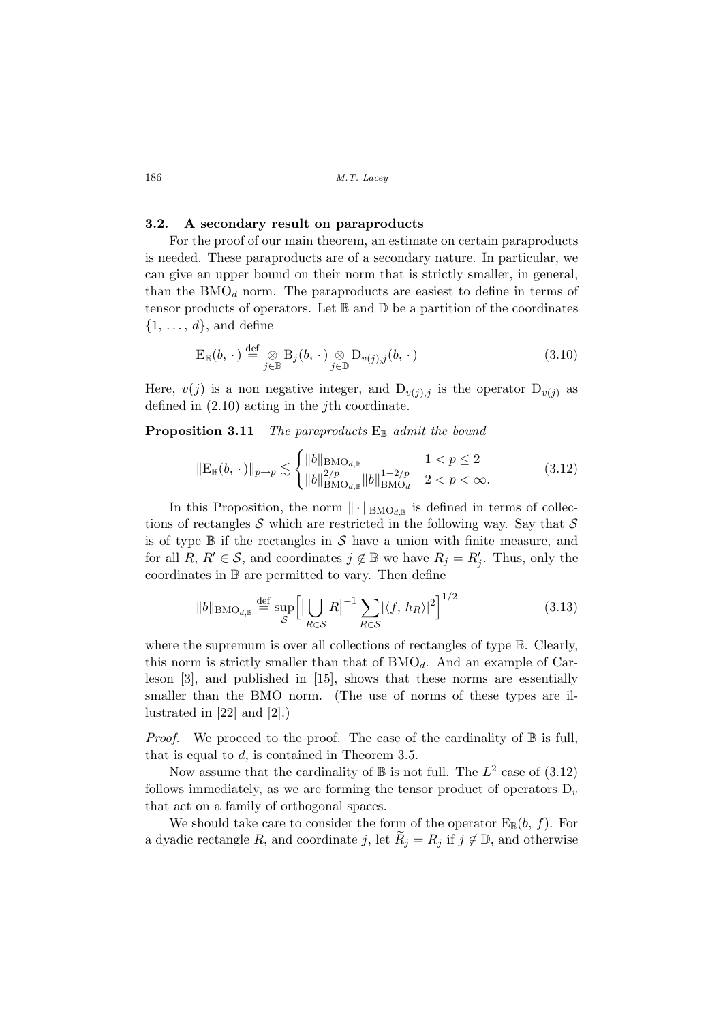### 3.2. A secondary result on paraproducts

For the proof of our main theorem, an estimate on certain paraproducts is needed. These paraproducts are of a secondary nature. In particular, we can give an upper bound on their norm that is strictly smaller, in general, than the  $BMO<sub>d</sub>$  norm. The paraproducts are easiest to define in terms of tensor products of operators. Let  $\mathbb B$  and  $\mathbb D$  be a partition of the coordinates  $\{1, \ldots, d\}$ , and define

$$
\mathcal{E}_{\mathbb{B}}(b,\,\cdot\,) \stackrel{\text{def}}{=} \underset{j\in\mathbb{B}}{\otimes} \mathcal{B}_j(b,\,\cdot\,) \underset{j\in\mathbb{D}}{\otimes} \mathcal{D}_{v(j),j}(b,\,\cdot) \tag{3.10}
$$

Here,  $v(j)$  is a non negative integer, and  $D_{v(j),j}$  is the operator  $D_{v(j)}$  as defined in  $(2.10)$  acting in the *j*th coordinate.

### **Proposition 3.11** The paraproducts  $E_{\mathbb{B}}$  admit the bound

$$
\|\mathcal{E}_{\mathbb{B}}(b,\,\cdot\,)\|_{p\to p} \lesssim \begin{cases} \|b\|_{\mathrm{BMO}_{d,\mathbb{B}}} & 1 < p \le 2\\ \|b\|_{\mathrm{BMO}_{d,\mathbb{B}}}^{2/p} & 2 < p < \infty. \end{cases} \tag{3.12}
$$

In this Proposition, the norm  $\|\cdot\|_{\text{BMO}_{d,\mathbb{B}}}$  is defined in terms of collections of rectangles S which are restricted in the following way. Say that  $S$ is of type  $\mathbb B$  if the rectangles in S have a union with finite measure, and for all  $R, R' \in \mathcal{S}$ , and coordinates  $j \notin \mathbb{B}$  we have  $R_j = R'_j$ . Thus, only the coordinates in B are permitted to vary. Then define

$$
||b||_{\text{BMO}_{d,\mathbb{B}}} \stackrel{\text{def}}{=} \sup_{\mathcal{S}} \left[ \left| \bigcup_{R \in \mathcal{S}} R \right|^{-1} \sum_{R \in \mathcal{S}} |\langle f, h_R \rangle|^2 \right]^{1/2} \tag{3.13}
$$

where the supremum is over all collections of rectangles of type  $\mathbb B$ . Clearly, this norm is strictly smaller than that of  $BMO_d$ . And an example of Carleson [3], and published in [15], shows that these norms are essentially smaller than the BMO norm. (The use of norms of these types are illustrated in [22] and [2].)

*Proof.* We proceed to the proof. The case of the cardinality of  $\mathbb B$  is full, that is equal to  $d$ , is contained in Theorem 3.5.

Now assume that the cardinality of  $\mathbb B$  is not full. The  $L^2$  case of  $(3.12)$ follows immediately, as we are forming the tensor product of operators  $D_v$ that act on a family of orthogonal spaces.

We should take care to consider the form of the operator  $E_{\mathbb{B}}(b, f)$ . For a dyadic rectangle R, and coordinate j, let  $R_j = R_j$  if  $j \notin \mathbb{D}$ , and otherwise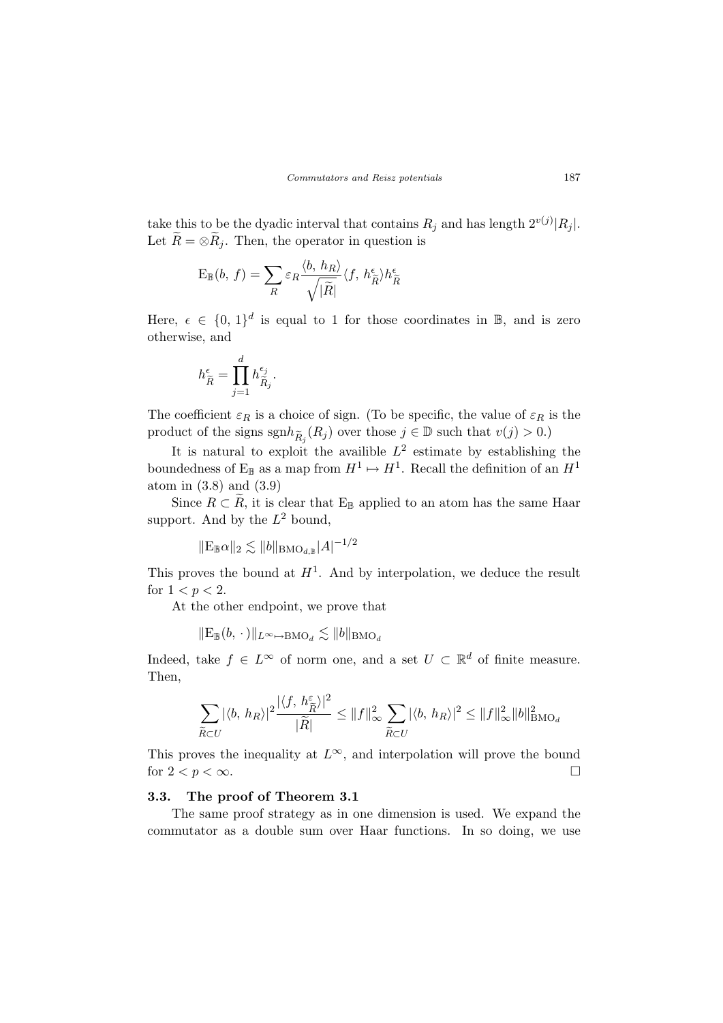take this to be the dyadic interval that contains  $R_j$  and has length  $2^{v(j)}|R_j|$ . Let  $\tilde{R} = \otimes \tilde{R}_j$ . Then, the operator in question is

$$
\mathbf{E}_{\mathbb{B}}(b,\,f)=\sum_{R}\varepsilon_{R}\frac{\langle b,\,h_{R}\rangle}{\sqrt{|\tilde{R}|}}\langle f,\,h_{\tilde{R}}^{\epsilon}\rangle h_{\tilde{R}}^{\epsilon}
$$

Here,  $\epsilon \in \{0, 1\}^d$  is equal to 1 for those coordinates in B, and is zero otherwise, and

$$
h^{\epsilon}_{\widetilde{R}} = \prod_{j=1}^d h^{\epsilon_j}_{\widetilde{R}_j}.
$$

The coefficient  $\varepsilon_R$  is a choice of sign. (To be specific, the value of  $\varepsilon_R$  is the product of the signs  $\text{sgn}h_{\widetilde{R}_j}(R_j)$  over those  $j \in \mathbb{D}$  such that  $v(j) > 0$ .)

It is natural to exploit the availible  $L^2$  estimate by establishing the boundedness of  $E_{\mathbb{B}}$  as a map from  $H^1 \mapsto H^1$ . Recall the definition of an  $H^1$ atom in (3.8) and (3.9)

Since  $R \subset \widetilde{R}$ , it is clear that E<sub>B</sub> applied to an atom has the same Haar support. And by the  $L^2$  bound,

$$
\|E_{\mathbb{B}}\alpha\|_2 \lesssim \|b\|_{BMO_{d,\mathbb{B}}} |A|^{-1/2}
$$

This proves the bound at  $H^1$ . And by interpolation, we deduce the result for  $1 < p < 2$ .

At the other endpoint, we prove that

 $\|\mathcal{E}_{\mathbb{B}}(b, \cdot)\|_{L^{\infty}\mapsto \text{BMO}_{d}} \lesssim \|b\|_{\text{BMO}_{d}}$ 

Indeed, take  $f \in L^{\infty}$  of norm one, and a set  $U \subset \mathbb{R}^d$  of finite measure. Then,

$$
\sum_{\widetilde{R}\subset U}|\langle b,\,h_R\rangle|^2\frac{|\langle f,\,h_{\widetilde{R}}^\varepsilon\rangle|^2}{|\widetilde{R}|}\leq\|f\|_\infty^2\sum_{\widetilde{R}\subset U}|\langle b,\,h_R\rangle|^2\leq\|f\|_\infty^2\|b\|_{\mathrm{BMO}_d}^2
$$

This proves the inequality at  $L^{\infty}$ , and interpolation will prove the bound for  $2 < p < \infty$ .

### 3.3. The proof of Theorem 3.1

The same proof strategy as in one dimension is used. We expand the commutator as a double sum over Haar functions. In so doing, we use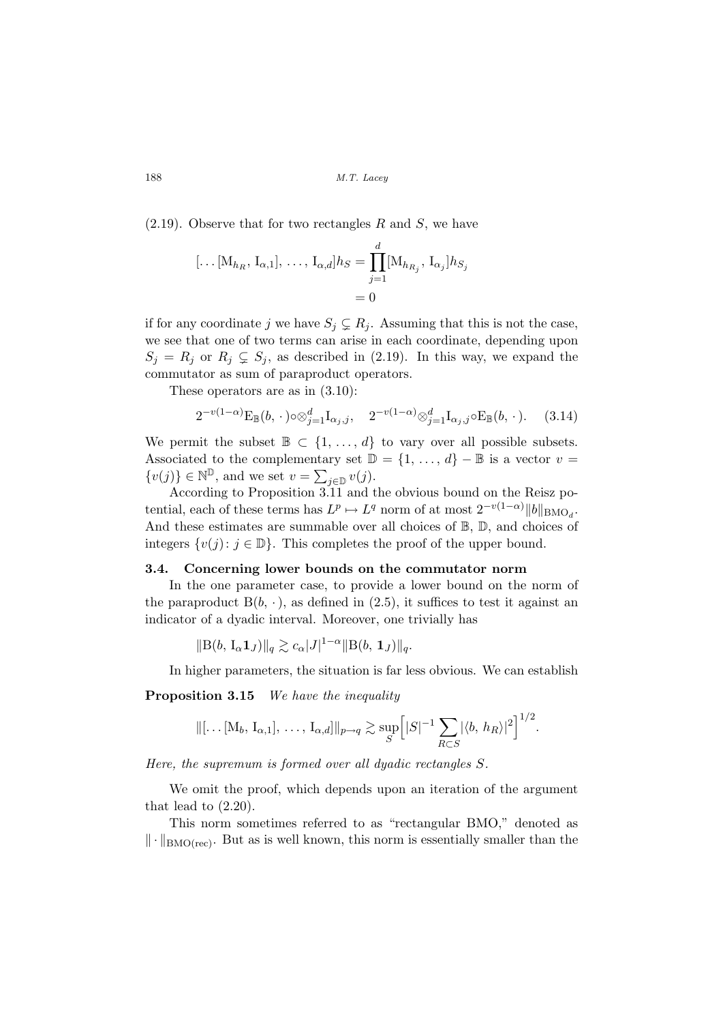$(2.19)$ . Observe that for two rectangles R and S, we have

$$
[\dots[\mathbf{M}_{h_R}, \mathbf{I}_{\alpha,1}], \dots, \mathbf{I}_{\alpha,d}] h_S = \prod_{j=1}^d [\mathbf{M}_{h_{R_j}}, \mathbf{I}_{\alpha_j}] h_{S_j}
$$
  
= 0

if for any coordinate j we have  $S_j \subsetneq R_j$ . Assuming that this is not the case, we see that one of two terms can arise in each coordinate, depending upon  $S_j = R_j$  or  $R_j \subsetneq S_j$ , as described in (2.19). In this way, we expand the commutator as sum of paraproduct operators.

These operators are as in (3.10):

$$
2^{-v(1-\alpha)} \mathcal{E}_{\mathbb{B}}(b, \cdot) \circ \otimes_{j=1}^{d} \mathcal{I}_{\alpha_j, j}, \quad 2^{-v(1-\alpha)} \otimes_{j=1}^{d} \mathcal{I}_{\alpha_j, j} \circ \mathcal{E}_{\mathbb{B}}(b, \cdot). \tag{3.14}
$$

We permit the subset  $\mathbb{B} \subset \{1, \ldots, d\}$  to vary over all possible subsets. Associated to the complementary set  $\mathbb{D} = \{1, \ldots, d\} - \mathbb{B}$  is a vector  $v =$ Associated to the complements<br> $\{v(j)\}\in\mathbb{N}^{\mathbb{D}}$ , and we set  $v=\sum$  $_{j\in\mathbb{D}}v(j).$ 

According to Proposition 3.11 and the obvious bound on the Reisz potential, each of these terms has  $L^p \mapsto L^q$  norm of at most  $2^{-v(1-\alpha)} \|b\|_{\text{BMO}_{d}}$ . And these estimates are summable over all choices of  $\mathbb{B}$ ,  $\mathbb{D}$ , and choices of integers  $\{v(j): j \in \mathbb{D}\}\.$  This completes the proof of the upper bound.

### 3.4. Concerning lower bounds on the commutator norm

In the one parameter case, to provide a lower bound on the norm of the paraproduct  $B(b, \cdot)$ , as defined in (2.5), it suffices to test it against an indicator of a dyadic interval. Moreover, one trivially has

 $||B(b, I_{\alpha} 1_J)||_q \gtrsim c_{\alpha} |J|^{1-\alpha} ||B(b, 1_J)||_q.$ 

In higher parameters, the situation is far less obvious. We can establish

Proposition 3.15 We have the inequality

$$
\|[\ldots [\mathrm{M}_b, \mathrm{I}_{\alpha,1}], \ldots, \mathrm{I}_{\alpha,d}] \|_{p \to q} \gtrsim \sup_{S} \Big[ |S|^{-1} \sum_{R \subset S} |\langle b, h_R \rangle|^2 \Big]^{1/2}.
$$

Here, the supremum is formed over all dyadic rectangles S.

We omit the proof, which depends upon an iteration of the argument that lead to (2.20).

This norm sometimes referred to as "rectangular BMO," denoted as  $\|\cdot\|_{\text{BMO}(\text{rec})}$ . But as is well known, this norm is essentially smaller than the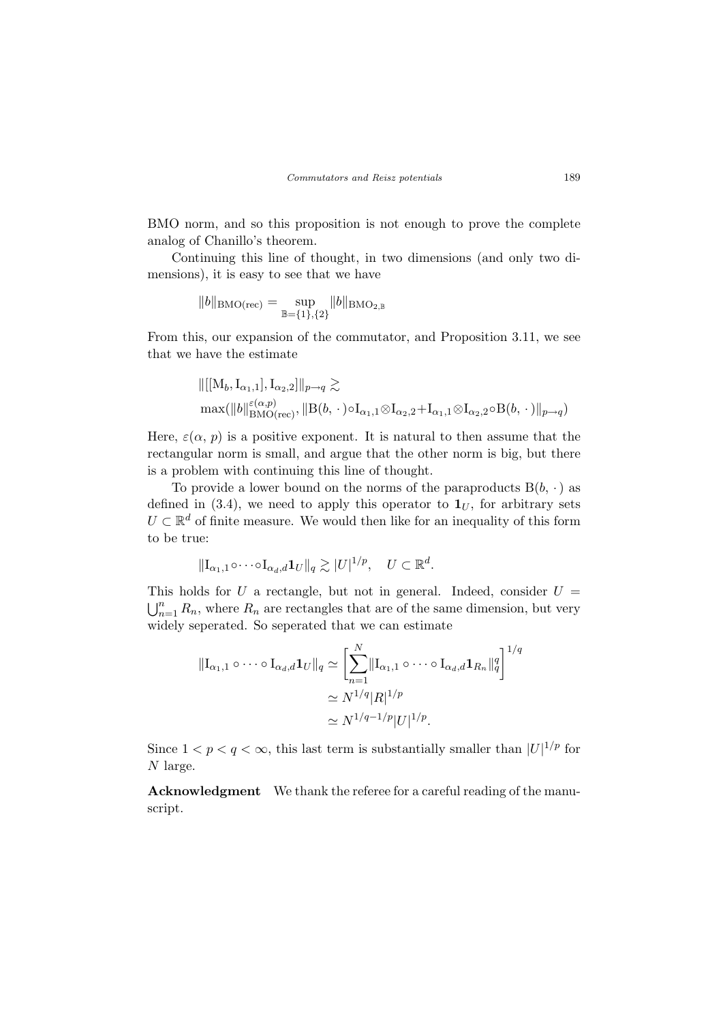BMO norm, and so this proposition is not enough to prove the complete analog of Chanillo's theorem.

Continuing this line of thought, in two dimensions (and only two dimensions), it is easy to see that we have

$$
||b||_{\mathrm{BMO}(\mathrm{rec})}=\sup_{\mathbb{B}=\{1\},\{2\}}||b||_{\mathrm{BMO}_{2,\mathbb{B}}}
$$

From this, our expansion of the commutator, and Proposition 3.11, we see that we have the estimate

$$
\begin{aligned}\n\|[[\mathbf{M}_b, \mathbf{I}_{\alpha_1,1}], \mathbf{I}_{\alpha_2,2}]\|_{p\to q} &\geq \\
\max(\|b\|_{\mathrm{BMO}(\mathrm{rec})}^{\varepsilon(\alpha,p)}, \|B(b,\,\cdot\,)\circ\mathbf{I}_{\alpha_1,1}\otimes\mathbf{I}_{\alpha_2,2} + \mathbf{I}_{\alpha_1,1}\otimes\mathbf{I}_{\alpha_2,2}\circ B(b,\,\cdot\,)\|_{p\to q})\n\end{aligned}
$$

Here,  $\varepsilon(\alpha, p)$  is a positive exponent. It is natural to then assume that the rectangular norm is small, and argue that the other norm is big, but there is a problem with continuing this line of thought.

To provide a lower bound on the norms of the paraproducts  $B(b, \cdot)$  as defined in (3.4), we need to apply this operator to  $\mathbf{1}_U$ , for arbitrary sets  $U \subset \mathbb{R}^d$  of finite measure. We would then like for an inequality of this form to be true:

$$
\|\mathbf{I}_{\alpha_1,1}\circ\cdots\circ\mathbf{I}_{\alpha_d,d}\mathbf{1}_U\|_q \gtrsim |U|^{1/p}, \quad U \subset \mathbb{R}^d.
$$

This holds for U a rectangle, but not in general. Indeed, consider  $U =$  $\bigcup_{n=1}^{n} R_n$ , where  $R_n$  are rectangles that are of the same dimension, but very widely seperated. So seperated that we can estimate

$$
\begin{aligned} \|\mathbf{I}_{\alpha_1,1} \circ \cdots \circ \mathbf{I}_{\alpha_d,d} \mathbf{1}_U\|_q &\cong \left[\sum_{n=1}^N \|\mathbf{I}_{\alpha_1,1} \circ \cdots \circ \mathbf{I}_{\alpha_d,d} \mathbf{1}_{R_n}\|_q^q\right]^{1/q} \\ &\cong N^{1/q} |R|^{1/p} \\ &\cong N^{1/q-1/p} |U|^{1/p} .\end{aligned}
$$

Since  $1 < p < q < \infty$ , this last term is substantially smaller than  $|U|^{1/p}$  for N large.

Acknowledgment We thank the referee for a careful reading of the manuscript.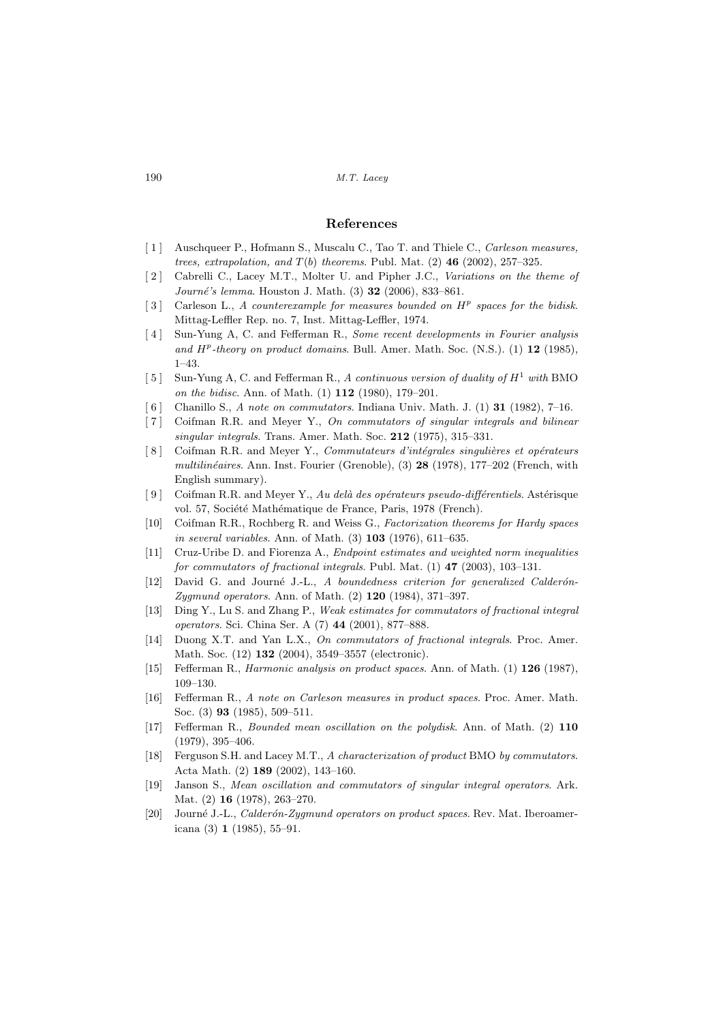#### References

- [1] Auschqueer P., Hofmann S., Muscalu C., Tao T. and Thiele C., *Carleson measures*, trees, extrapolation, and  $T(b)$  theorems. Publ. Mat. (2) 46 (2002), 257-325.
- [2] Cabrelli C., Lacey M.T., Molter U. and Pipher J.C., Variations on the theme of  $Journali$ 's lemma. Houston J. Math. (3) 32 (2006), 833–861.
- [3] Carleson L., A counterexample for measures bounded on  $H<sup>p</sup>$  spaces for the bidisk. Mittag-Leffler Rep. no. 7, Inst. Mittag-Leffler, 1974.
- [4] Sun-Yung A, C. and Fefferman R., Some recent developments in Fourier analysis and  $H^p$ -theory on product domains. Bull. Amer. Math. Soc. (N.S.). (1) 12 (1985), 1–43.
- [5] Sun-Yung A, C. and Fefferman R., A continuous version of duality of  $H^1$  with BMO on the bidisc. Ann. of Math. (1) 112 (1980), 179–201.
- [6] Chanillo S., A note on commutators. Indiana Univ. Math. J. (1) **31** (1982), 7–16.
- [7] Coifman R.R. and Meyer Y., On commutators of singular integrals and bilinear singular integrals. Trans. Amer. Math. Soc. 212 (1975), 315–331.
- [8] Coifman R.R. and Meyer Y., Commutateurs d'intégrales singulières et opérateurs  $multilinéaires.$  Ann. Inst. Fourier (Grenoble),  $(3)$  28 (1978), 177–202 (French, with English summary).
- [9] Coifman R.R. and Meyer Y., Au delà des opérateurs pseudo-différentiels. Astérisque vol. 57, Société Mathématique de France, Paris, 1978 (French).
- [10] Coifman R.R., Rochberg R. and Weiss G., Factorization theorems for Hardy spaces in several variables. Ann. of Math. (3) 103 (1976), 611–635.
- [11] Cruz-Uribe D. and Fiorenza A., Endpoint estimates and weighted norm inequalities for commutators of fractional integrals. Publ. Mat.  $(1)$  47  $(2003)$ , 103-131.
- [12] David G. and Journé J.-L., A boundedness criterion for generalized Calderón-Zygmund operators. Ann. of Math. (2) 120 (1984), 371–397.
- [13] Ding Y., Lu S. and Zhang P., Weak estimates for commutators of fractional integral operators. Sci. China Ser. A (7) 44 (2001), 877–888.
- [14] Duong X.T. and Yan L.X., On commutators of fractional integrals. Proc. Amer. Math. Soc. (12) 132 (2004), 3549–3557 (electronic).
- [15] Fefferman R., Harmonic analysis on product spaces. Ann. of Math. (1) 126 (1987), 109–130.
- [16] Fefferman R., A note on Carleson measures in product spaces. Proc. Amer. Math. Soc. (3) 93 (1985), 509–511.
- [17] Fefferman R., Bounded mean oscillation on the polydisk. Ann. of Math. (2) 110 (1979), 395–406.
- [18] Ferguson S.H. and Lacey M.T., A characterization of product BMO by commutators. Acta Math. (2) 189 (2002), 143–160.
- [19] Janson S., Mean oscillation and commutators of singular integral operators. Ark. Mat. (2) 16 (1978), 263–270.
- [20] Journé J.-L., Calderón-Zygmund operators on product spaces. Rev. Mat. Iberoamericana (3) 1 (1985), 55–91.